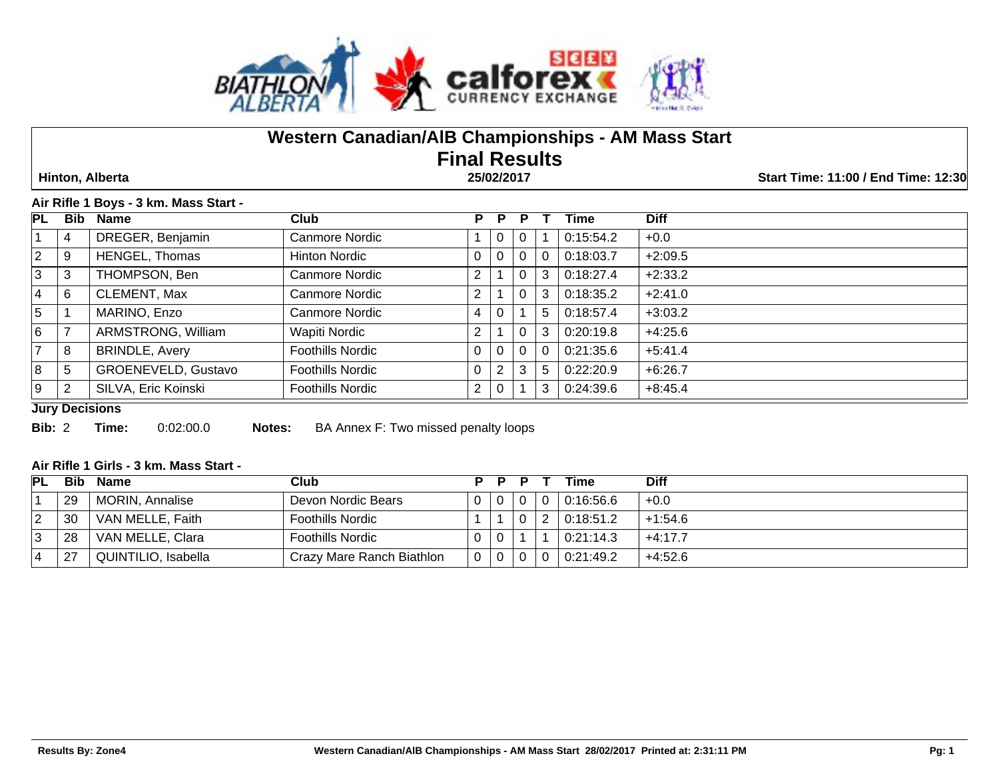

# **Western Canadian/AlB Championships - AM Mass Start Final Results**

 **Hinton, Alberta 25/02/2017 Start Time: 11:00 / End Time: 12:30**

#### **Air Rifle 1 Boys - 3 km. Mass Start -**

| PL             | <b>Bib</b>  | <b>Name</b>           | Club                    | P.             | P              |                |                | Time      | <b>Diff</b> |
|----------------|-------------|-----------------------|-------------------------|----------------|----------------|----------------|----------------|-----------|-------------|
|                | 4           | DREGER, Benjamin      | Canmore Nordic          |                | $\overline{0}$ | $\Omega$       |                | 0:15:54.2 | $+0.0$      |
| $\overline{2}$ | 9           | HENGEL, Thomas        | <b>Hinton Nordic</b>    | 0              | $\overline{0}$ | $\Omega$       | $\overline{0}$ | 0:18:03.7 | $+2:09.5$   |
| $\mathbf{3}$   | 3           | THOMPSON, Ben         | Canmore Nordic          | $\overline{2}$ |                | 0              | 3              | 0:18:27.4 | $+2:33.2$   |
| 4              | 6           | CLEMENT, Max          | Canmore Nordic          | $\overline{2}$ |                | $\overline{0}$ | $\mathbf{3}$   | 0:18:35.2 | $+2:41.0$   |
| $\overline{5}$ |             | MARINO, Enzo          | Canmore Nordic          | 4              | $\overline{0}$ |                | 5              | 0:18:57.4 | $+3:03.2$   |
| 6              |             | ARMSTRONG, William    | Wapiti Nordic           | $\overline{2}$ |                | $\mathbf 0$    | 3              | 0:20:19.8 | $+4:25.6$   |
| $\overline{7}$ | 8           | <b>BRINDLE, Avery</b> | <b>Foothills Nordic</b> | $\overline{0}$ | $\overline{0}$ | $\overline{0}$ | $\Omega$       | 0:21:35.6 | $+5:41.4$   |
| 8              | $\mathbf b$ | GROENEVELD, Gustavo   | <b>Foothills Nordic</b> | $\Omega$       | $\overline{2}$ | 3              | 5 <sup>5</sup> | 0:22:20.9 | $+6:26.7$   |
| 9              | 2           | SILVA, Eric Koinski   | <b>Foothills Nordic</b> | $\overline{2}$ | $\mathbf 0$    |                | 3              | 0:24:39.6 | $+8.45.4$   |

**Jury Decisions**

**Bib:** 2 **Time:** 0:02:00.0 **Notes:** BA Annex F: Two missed penalty loops

## **Air Rifle 1 Girls - 3 km. Mass Start -**

| PL      | Bib | Name                   | Club                      | D. | Ð |  | Time      | <b>Diff</b> |
|---------|-----|------------------------|---------------------------|----|---|--|-----------|-------------|
|         | 29  | <b>MORIN, Annalise</b> | Devon Nordic Bears        |    |   |  | 0:16:56.6 | $+0.0$      |
| ∠       | 30  | VAN MELLE, Faith       | <b>Foothills Nordic</b>   |    |   |  | 0:18:51.2 | $+1:54.6$   |
| ≏<br>رب | 28  | VAN MELLE, Clara       | <b>Foothills Nordic</b>   |    |   |  | 0:21:14.3 | $+4:17.7$   |
| 4       | 27  | QUINTILIO, Isabella    | Crazy Mare Ranch Biathlon |    |   |  | 0:21:49.2 | $+4:52.6$   |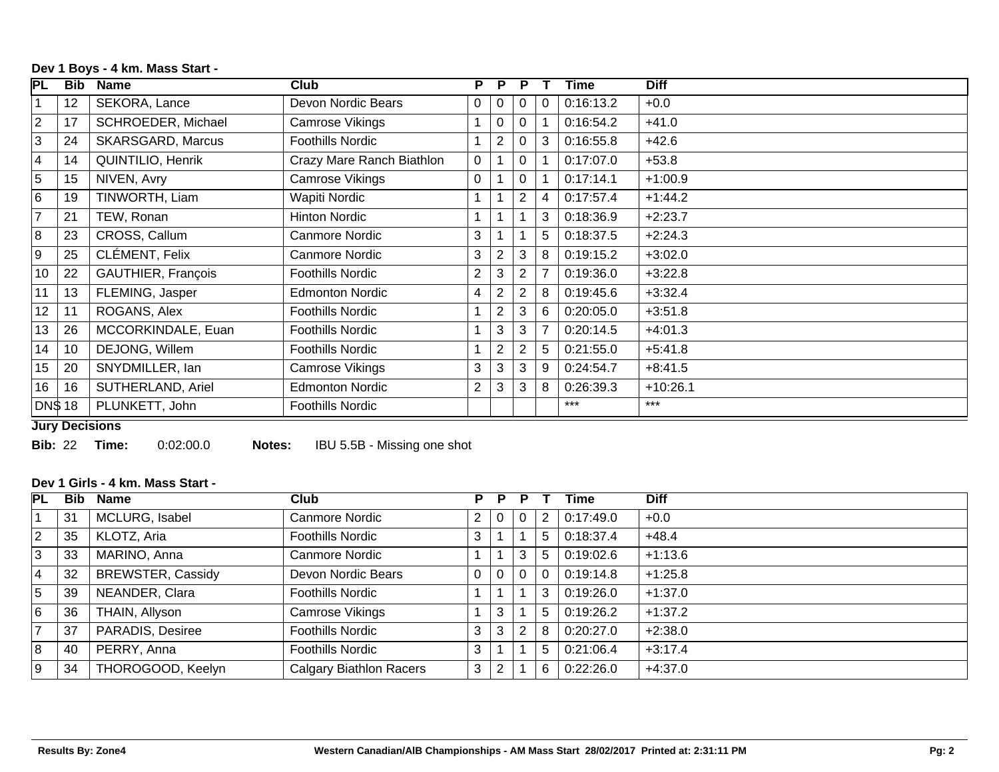| <b>PL</b>        | Bib | Name                      | Club                      | P.           | P        | Р              |          | Time      | <b>Diff</b> |
|------------------|-----|---------------------------|---------------------------|--------------|----------|----------------|----------|-----------|-------------|
|                  | 12  | SEKORA, Lance             | Devon Nordic Bears        | $\Omega$     | $\Omega$ | $\Omega$       | $\Omega$ | 0:16:13.2 | $+0.0$      |
| $\overline{2}$   | 17  | SCHROEDER, Michael        | Camrose Vikings           |              | 0        | 0              |          | 0:16:54.2 | $+41.0$     |
| 3                | 24  | <b>SKARSGARD, Marcus</b>  | Foothills Nordic          |              | 2        | $\mathbf 0$    | 3        | 0:16:55.8 | $+42.6$     |
| 4                | 14  | QUINTILIO, Henrik         | Crazy Mare Ranch Biathlon | $\mathbf{0}$ |          | $\mathbf 0$    |          | 0:17:07.0 | $+53.8$     |
| 5                | 15  | NIVEN, Avry               | Camrose Vikings           | $\Omega$     |          | 0              |          | 0:17:14.1 | $+1:00.9$   |
| 6                | 19  | TINWORTH, Liam            | Wapiti Nordic             |              |          | $\overline{2}$ | 4        | 0:17:57.4 | $+1:44.2$   |
| 7                | 21  | TEW, Ronan                | <b>Hinton Nordic</b>      |              |          |                | 3        | 0:18:36.9 | $+2:23.7$   |
| 8                | 23  | CROSS, Callum             | Canmore Nordic            | 3            |          |                | 5        | 0:18:37.5 | $+2:24.3$   |
| 9                | 25  | CLÉMENT, Felix            | Canmore Nordic            | 3            |          | 3              | 8        | 0:19:15.2 | $+3:02.0$   |
| 10 <sub>1</sub>  | 22  | <b>GAUTHIER, François</b> | <b>Foothills Nordic</b>   | 2            |          | $\overline{2}$ |          | 0:19:36.0 | $+3:22.8$   |
| 11               | 13  | FLEMING, Jasper           | <b>Edmonton Nordic</b>    | 4            |          | 2              | 8        | 0:19:45.6 | $+3:32.4$   |
| 12               | 11  | ROGANS, Alex              | <b>Foothills Nordic</b>   |              |          | 3              | 6        | 0:20:05.0 | $+3:51.8$   |
| 13               | 26  | MCCORKINDALE, Euan        | <b>Foothills Nordic</b>   |              | 3        | 3              |          | 0:20:14.5 | $+4:01.3$   |
| 14               | 10  | DEJONG, Willem            | <b>Foothills Nordic</b>   |              | 2        | $\overline{2}$ | 5        | 0:21:55.0 | $+5:41.8$   |
| 15 <sub>15</sub> | 20  | SNYDMILLER, Ian           | Camrose Vikings           | 3            | 3        | 3              | 9        | 0:24:54.7 | $+8:41.5$   |
| 16               | 16  | SUTHERLAND, Ariel         | <b>Edmonton Nordic</b>    | 2            | 3        | 3              | 8        | 0:26:39.3 | $+10:26.1$  |
| DN\$ 18          |     | PLUNKETT, John            | <b>Foothills Nordic</b>   |              |          |                |          | $***$     | $***$       |

## **Dev 1 Boys - 4 km. Mass Start -**

**Jury Decisions**

**Bib:** 22 **Time:** 0:02:00.0 **Notes:** IBU 5.5B - Missing one shot

#### **Dev 1 Girls - 4 km. Mass Start -**

| PL             | <b>Bib</b> | <b>Name</b>       | Club                           | P.       | P              |          |    | Time      | <b>Diff</b> |
|----------------|------------|-------------------|--------------------------------|----------|----------------|----------|----|-----------|-------------|
|                | 31         | MCLURG, Isabel    | Canmore Nordic                 | 2        | $\overline{0}$ | - 0      | 2  | 0:17:49.0 | $+0.0$      |
| $\overline{2}$ | 35         | KLOTZ, Aria       | <b>Foothills Nordic</b>        | 3        |                |          | 5  | 0:18:37.4 | $+48.4$     |
| 3              | 33         | MARINO, Anna      | Canmore Nordic                 |          |                | 3        | 5  | 0:19:02.6 | $+1:13.6$   |
| 4              | 32         | BREWSTER, Cassidy | Devon Nordic Bears             | $\Omega$ | $\overline{0}$ | $\Omega$ |    | 0:19:14.8 | $+1:25.8$   |
| 5              | 39         | NEANDER, Clara    | <b>Foothills Nordic</b>        |          |                |          | 3  | 0:19:26.0 | $+1:37.0$   |
| 6              | 36         | THAIN, Allyson    | Camrose Vikings                |          | 3              |          | 5. | 0:19:26.2 | $+1:37.2$   |
| $\overline{7}$ | 37         | PARADIS, Desiree  | <b>Foothills Nordic</b>        | 3        | 3              | 2        | 8  | 0:20:27.0 | $+2:38.0$   |
| 8              | 40         | PERRY, Anna       | <b>Foothills Nordic</b>        | 3        |                |          | 5. | 0:21:06.4 | $+3:17.4$   |
| 9              | 34         | THOROGOOD, Keelyn | <b>Calgary Biathlon Racers</b> | 3        | 2              |          | 6. | 0:22:26.0 | $+4:37.0$   |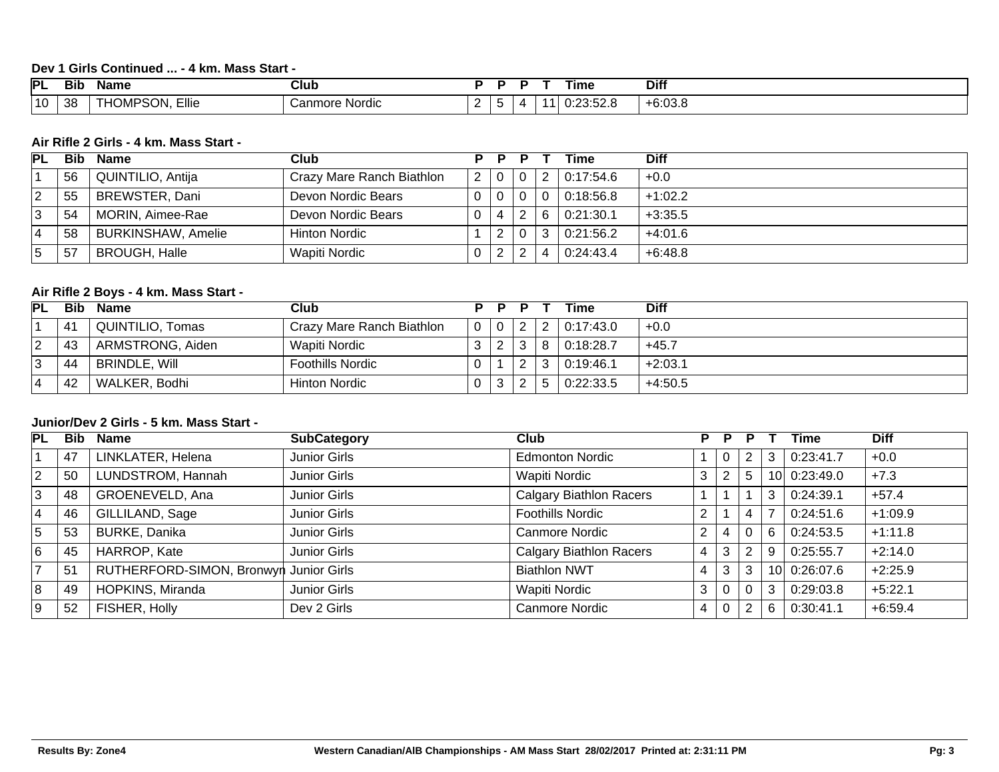## **Dev 1 Girls Continued ... - 4 km. Mass Start -**

| PL           | --<br>Bib | <b>Name</b>                | Club                                |   |  | Γıme                         | <b>Diff</b>   |
|--------------|-----------|----------------------------|-------------------------------------|---|--|------------------------------|---------------|
| $ 10\rangle$ | วฉ<br>ັບ  | Ellie<br>∵∿MP: س.<br>,,,,, | Nordic<br>`anmore .<br>$\mathbf{u}$ | _ |  | $\mathbf{r}$<br>,,,,<br>.v.v | 0.00<br>.o.vo |

## **Air Rifle 2 Girls - 4 km. Mass Start -**

| <b>PL</b> | <b>Bib</b> | <b>Name</b>               | Club                      | D. |     |  | Time      | <b>Diff</b> |
|-----------|------------|---------------------------|---------------------------|----|-----|--|-----------|-------------|
|           | 56         | QUINTILIO, Antija         | Crazy Mare Ranch Biathlon | 2  | I O |  | 0:17:54.6 | $+0.0$      |
| 2         | 55         | BREWSTER, Dani            | Devon Nordic Bears        |    | n.  |  | 0:18:56.8 | $+1:02.2$   |
| 3         | 54         | MORIN, Aimee-Rae          | Devon Nordic Bears        |    |     |  | 0:21:30.1 | $+3:35.5$   |
| 4         | 58         | <b>BURKINSHAW, Amelie</b> | Hinton Nordic             |    |     |  | 0:21:56.2 | $+4.01.6$   |
|           | 57         | <b>BROUGH, Halle</b>      | Wapiti Nordic             |    |     |  | 0:24:43.4 | $+6:48.8$   |

## **Air Rifle 2 Boys - 4 km. Mass Start -**

| <b>PL</b>   | <b>Bib</b> | <b>Name</b>             | Club                      | D.  | P              |   |                | Time                      | <b>Diff</b> |
|-------------|------------|-------------------------|---------------------------|-----|----------------|---|----------------|---------------------------|-------------|
|             | 41         | <b>QUINTILIO, Tomas</b> | Crazy Mare Ranch Biathlon | l 0 | $\overline{0}$ | 2 |                | $\vert 2 \vert 0:17:43.0$ | $+0.0$      |
| $ 2\rangle$ | 43         | ARMSTRONG, Aiden        | Wapiti Nordic             |     | ∼              | 3 | 8              | 0:18:28.7                 | $+45.7$     |
| 3           | 44         | <b>BRINDLE, Will</b>    | <b>Foothills Nordic</b>   |     |                | റ | 3 <sub>1</sub> | 0:19:46.1                 | $+2:03.1$   |
| 14          | 42         | WALKER, Bodhi           | Hinton Nordic             |     |                |   |                | 0:22:33.5                 | $+4:50.5$   |

## **Junior/Dev 2 Girls - 5 km. Mass Start -**

| PL  | Bib | <b>Name</b>                            | <b>SubCategory</b> | Club                           | P              |                |    |   | Time         | <b>Diff</b> |
|-----|-----|----------------------------------------|--------------------|--------------------------------|----------------|----------------|----|---|--------------|-------------|
|     | 47  | LINKLATER, Helena                      | Junior Girls       | <b>Edmonton Nordic</b>         |                | $\Omega$       | -2 | 3 | 0:23:41.7    | $+0.0$      |
| 2   | 50  | LUNDSTROM, Hannah                      | Junior Girls       | <b>Wapiti Nordic</b>           | 3              | 2              | 5  |   | 10 0:23:49.0 | $+7.3$      |
| 3   | 48  | GROENEVELD, Ana                        | Junior Girls       | <b>Calgary Biathlon Racers</b> |                |                |    |   | 0:24:39.1    | $+57.4$     |
| l 4 | 46  | GILLILAND, Sage                        | Junior Girls       | <b>Foothills Nordic</b>        | $\overline{2}$ |                |    |   | 0:24:51.6    | $+1:09.9$   |
| 5   | 53  | <b>BURKE, Danika</b>                   | Junior Girls       | Canmore Nordic                 | 2              | 4              |    | 6 | 0:24:53.5    | $+1:11.8$   |
| 6   | 45  | HARROP, Kate                           | Junior Girls       | <b>Calgary Biathlon Racers</b> | 4              | 3              | 2  |   | 0:25:55.7    | $+2:14.0$   |
|     | 51  | RUTHERFORD-SIMON, Bronwyn Junior Girls |                    | <b>Biathlon NWT</b>            |                | 3              | 3  |   | 10 0:26:07.6 | $+2:25.9$   |
| 8   | 49  | HOPKINS, Miranda                       | Junior Girls       | <b>Wapiti Nordic</b>           | 3              | $\overline{0}$ |    | 3 | 0:29:03.8    | $+5:22.1$   |
| l 9 | 52  | FISHER, Holly                          | Dev 2 Girls        | Canmore Nordic                 | 4              | $\overline{0}$ | 2  | 6 | 0:30:41.1    | $+6:59.4$   |